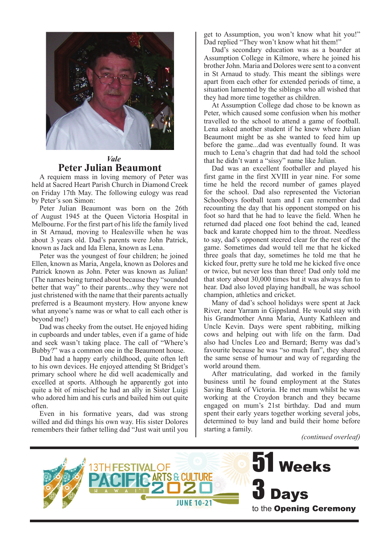

#### *Vale*  **Peter Julian Beaumont**

A requiem mass in loving memory of Peter was held at Sacred Heart Parish Church in Diamond Creek on Friday 17th May. The following eulogy was read by Peter's son Simon:

Peter Julian Beaumont was born on the 26th of August 1945 at the Queen Victoria Hospital in Melbourne. For the first part of his life the family lived in St Arnaud, moving to Healesville when he was about 3 years old. Dad's parents were John Patrick, known as Jack and Ida Elena, known as Lena.

Peter was the youngest of four children; he joined Ellen, known as Maria, Angela, known as Dolores and Patrick known as John. Peter was known as Julian! (The names being turned about because they "sounded better that way" to their parents...why they were not just christened with the name that their parents actually preferred is a Beaumont mystery. How anyone knew what anyone's name was or what to call each other is beyond me!)

Dad was cheeky from the outset. He enjoyed hiding in cupboards and under tables, even if a game of hide and seek wasn't taking place. The call of "Where's Bubby?" was a common one in the Beaumont house.

Dad had a happy early childhood, quite often left to his own devices. He enjoyed attending St Bridget's primary school where he did well academically and excelled at sports. Although he apparently got into quite a bit of mischief he had an ally in Sister Luigi who adored him and his curls and bailed him out quite often.

Even in his formative years, dad was strong willed and did things his own way. His sister Dolores remembers their father telling dad "Just wait until you

get to Assumption, you won't know what hit you!" Dad replied "They won't know what hit them!"

Dad's secondary education was as a boarder at Assumption College in Kilmore, where he joined his brother John. Maria and Dolores were sent to a convent in St Arnaud to study. This meant the siblings were apart from each other for extended periods of time, a situation lamented by the siblings who all wished that they had more time together as children.

At Assumption College dad chose to be known as Peter, which caused some confusion when his mother travelled to the school to attend a game of football. Lena asked another student if he knew where Julian Beaumont might be as she wanted to feed him up before the game...dad was eventually found. It was much to Lena's chagrin that dad had told the school that he didn't want a "sissy" name like Julian.

Dad was an excellent footballer and played his first game in the first XVIII in year nine. For some time he held the record number of games played for the school. Dad also represented the Victorian Schoolboys football team and I can remember dad recounting the day that his opponent stomped on his foot so hard that he had to leave the field. When he returned dad placed one foot behind the cad, leaned back and karate chopped him to the throat. Needless to say, dad's opponent steered clear for the rest of the game. Sometimes dad would tell me that he kicked three goals that day, sometimes he told me that he kicked four, pretty sure he told me he kicked five once or twice, but never less than three! Dad only told me that story about 30,000 times but it was always fun to hear. Dad also loved playing handball, he was school champion, athletics and cricket.

Many of dad's school holidays were spent at Jack River, near Yarram in Gippsland. He would stay with his Grandmother Anna Maria, Aunty Kathleen and Uncle Kevin. Days were spent rabbiting, milking cows and helping out with life on the farm. Dad also had Uncles Leo and Bernard; Berny was dad's favourite because he was "so much fun", they shared the same sense of humour and way of regarding the world around them.

After matriculating, dad worked in the family business until he found employment at the States Saving Bank of Victoria. He met mum whilst he was working at the Croydon branch and they became engaged on mum's 21st birthday. Dad and mum spent their early years together working several jobs, determined to buy land and build their home before starting a family.

*(continued overleaf)*